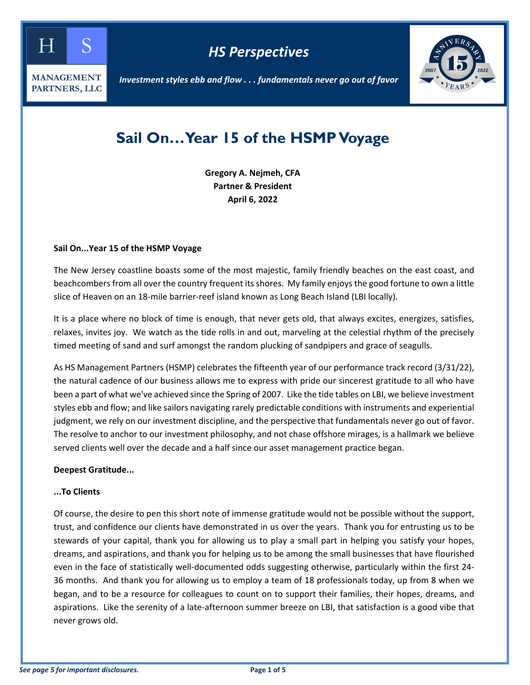

*HS Perspectives*



*Investment styles ebb and flow . . . fundamentals never go out of favor*

# **Sail On…Year 15 of the HSMP Voyage**

**Gregory A. Nejmeh, CFA Partner & President April 6, 2022**

#### **Sail On...Year 15 of the HSMP Voyage**

The New Jersey coastline boasts some of the most majestic, family friendly beaches on the east coast, and beachcombers from all over the country frequent its shores. My family enjoys the good fortune to own a little slice of Heaven on an 18-mile barrier-reef island known as Long Beach Island (LBI locally).

It is a place where no block of time is enough, that never gets old, that always excites, energizes, satisfies, relaxes, invites joy. We watch as the tide rolls in and out, marveling at the celestial rhythm of the precisely timed meeting of sand and surf amongst the random plucking of sandpipers and grace of seagulls.

As HS Management Partners (HSMP) celebrates the fifteenth year of our performance track record (3/31/22), the natural cadence of our business allows me to express with pride our sincerest gratitude to all who have been a part of what we've achieved since the Spring of 2007. Like the tide tables on LBI, we believe investment styles ebb and flow; and like sailors navigating rarely predictable conditions with instruments and experiential judgment, we rely on our investment discipline, and the perspective that fundamentals never go out of favor. The resolve to anchor to our investment philosophy, and not chase offshore mirages, is a hallmark we believe served clients well over the decade and a half since our asset management practice began.

## **Deepest Gratitude...**

#### **...To Clients**

Of course, the desire to pen this short note of immense gratitude would not be possible without the support, trust, and confidence our clients have demonstrated in us over the years. Thank you for entrusting us to be stewards of your capital, thank you for allowing us to play a small part in helping you satisfy your hopes, dreams, and aspirations, and thank you for helping us to be among the small businesses that have flourished even in the face of statistically well-documented odds suggesting otherwise, particularly within the first 24- 36 months. And thank you for allowing us to employ a team of 18 professionals today, up from 8 when we began, and to be a resource for colleagues to count on to support their families, their hopes, dreams, and aspirations. Like the serenity of a late-afternoon summer breeze on LBI, that satisfaction is a good vibe that never grows old.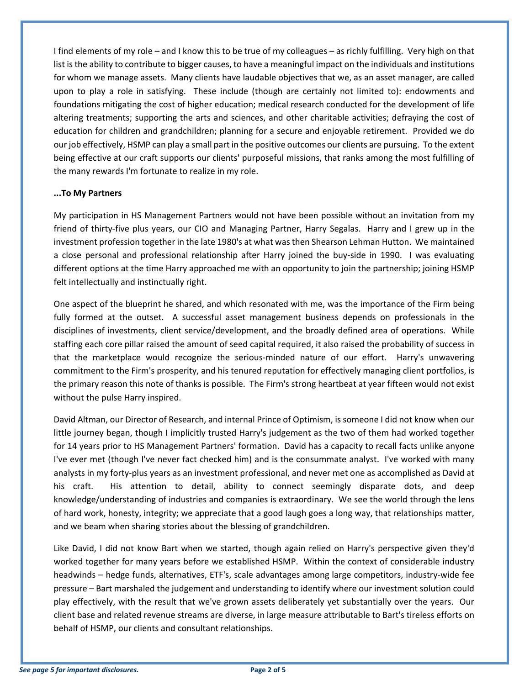I find elements of my role – and I know this to be true of my colleagues – as richly fulfilling. Very high on that list is the ability to contribute to bigger causes, to have a meaningful impact on the individuals and institutions for whom we manage assets. Many clients have laudable objectives that we, as an asset manager, are called upon to play a role in satisfying. These include (though are certainly not limited to): endowments and foundations mitigating the cost of higher education; medical research conducted for the development of life altering treatments; supporting the arts and sciences, and other charitable activities; defraying the cost of education for children and grandchildren; planning for a secure and enjoyable retirement. Provided we do our job effectively, HSMP can play a small part in the positive outcomes our clients are pursuing. To the extent being effective at our craft supports our clients' purposeful missions, that ranks among the most fulfilling of the many rewards I'm fortunate to realize in my role.

## **...To My Partners**

My participation in HS Management Partners would not have been possible without an invitation from my friend of thirty-five plus years, our CIO and Managing Partner, Harry Segalas. Harry and I grew up in the investment profession together in the late 1980's at what was then Shearson Lehman Hutton. We maintained a close personal and professional relationship after Harry joined the buy-side in 1990. I was evaluating different options at the time Harry approached me with an opportunity to join the partnership; joining HSMP felt intellectually and instinctually right.

One aspect of the blueprint he shared, and which resonated with me, was the importance of the Firm being fully formed at the outset. A successful asset management business depends on professionals in the disciplines of investments, client service/development, and the broadly defined area of operations. While staffing each core pillar raised the amount of seed capital required, it also raised the probability of success in that the marketplace would recognize the serious-minded nature of our effort. Harry's unwavering commitment to the Firm's prosperity, and his tenured reputation for effectively managing client portfolios, is the primary reason this note of thanks is possible. The Firm's strong heartbeat at year fifteen would not exist without the pulse Harry inspired.

David Altman, our Director of Research, and internal Prince of Optimism, is someone I did not know when our little journey began, though I implicitly trusted Harry's judgement as the two of them had worked together for 14 years prior to HS Management Partners' formation. David has a capacity to recall facts unlike anyone I've ever met (though I've never fact checked him) and is the consummate analyst. I've worked with many analysts in my forty-plus years as an investment professional, and never met one as accomplished as David at his craft. His attention to detail, ability to connect seemingly disparate dots, and deep knowledge/understanding of industries and companies is extraordinary. We see the world through the lens of hard work, honesty, integrity; we appreciate that a good laugh goes a long way, that relationships matter, and we beam when sharing stories about the blessing of grandchildren.

Like David, I did not know Bart when we started, though again relied on Harry's perspective given they'd worked together for many years before we established HSMP. Within the context of considerable industry headwinds – hedge funds, alternatives, ETF's, scale advantages among large competitors, industry-wide fee pressure – Bart marshaled the judgement and understanding to identify where our investment solution could play effectively, with the result that we've grown assets deliberately yet substantially over the years. Our client base and related revenue streams are diverse, in large measure attributable to Bart's tireless efforts on behalf of HSMP, our clients and consultant relationships.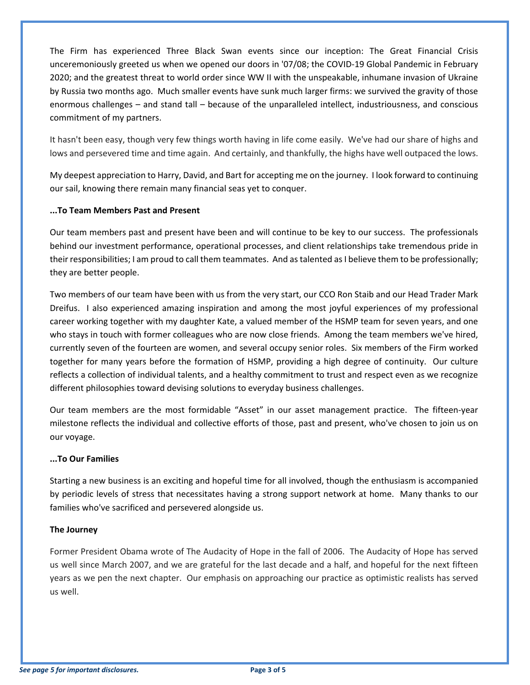The Firm has experienced Three Black Swan events since our inception: The Great Financial Crisis unceremoniously greeted us when we opened our doors in '07/08; the COVID-19 Global Pandemic in February 2020; and the greatest threat to world order since WW II with the unspeakable, inhumane invasion of Ukraine by Russia two months ago. Much smaller events have sunk much larger firms: we survived the gravity of those enormous challenges – and stand tall – because of the unparalleled intellect, industriousness, and conscious commitment of my partners.

It hasn't been easy, though very few things worth having in life come easily. We've had our share of highs and lows and persevered time and time again. And certainly, and thankfully, the highs have well outpaced the lows.

My deepest appreciation to Harry, David, and Bart for accepting me on the journey. I look forward to continuing our sail, knowing there remain many financial seas yet to conquer.

## **...To Team Members Past and Present**

Our team members past and present have been and will continue to be key to our success. The professionals behind our investment performance, operational processes, and client relationships take tremendous pride in their responsibilities; I am proud to call them teammates. And as talented as I believe them to be professionally; they are better people.

Two members of our team have been with us from the very start, our CCO Ron Staib and our Head Trader Mark Dreifus. I also experienced amazing inspiration and among the most joyful experiences of my professional career working together with my daughter Kate, a valued member of the HSMP team for seven years, and one who stays in touch with former colleagues who are now close friends. Among the team members we've hired, currently seven of the fourteen are women, and several occupy senior roles. Six members of the Firm worked together for many years before the formation of HSMP, providing a high degree of continuity. Our culture reflects a collection of individual talents, and a healthy commitment to trust and respect even as we recognize different philosophies toward devising solutions to everyday business challenges.

Our team members are the most formidable "Asset" in our asset management practice. The fifteen-year milestone reflects the individual and collective efforts of those, past and present, who've chosen to join us on our voyage.

## **...To Our Families**

Starting a new business is an exciting and hopeful time for all involved, though the enthusiasm is accompanied by periodic levels of stress that necessitates having a strong support network at home. Many thanks to our families who've sacrificed and persevered alongside us.

## **The Journey**

Former President Obama wrote of The Audacity of Hope in the fall of 2006. The Audacity of Hope has served us well since March 2007, and we are grateful for the last decade and a half, and hopeful for the next fifteen years as we pen the next chapter. Our emphasis on approaching our practice as optimistic realists has served us well.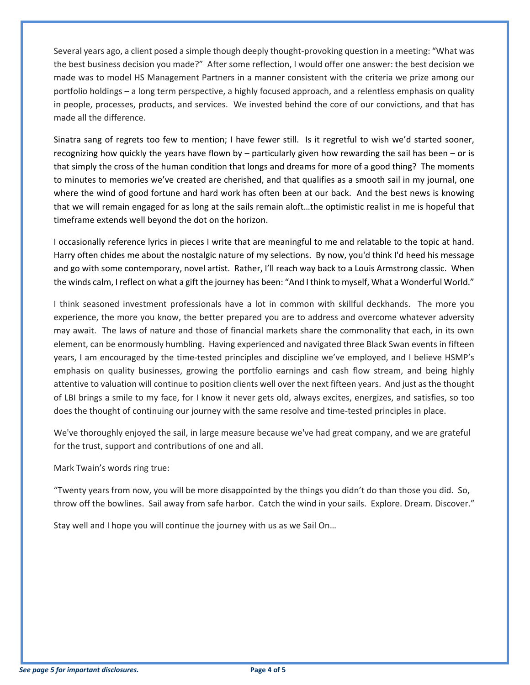Several years ago, a client posed a simple though deeply thought-provoking question in a meeting: "What was the best business decision you made?" After some reflection, I would offer one answer: the best decision we made was to model HS Management Partners in a manner consistent with the criteria we prize among our portfolio holdings – a long term perspective, a highly focused approach, and a relentless emphasis on quality in people, processes, products, and services. We invested behind the core of our convictions, and that has made all the difference.

Sinatra sang of regrets too few to mention; I have fewer still. Is it regretful to wish we'd started sooner, recognizing how quickly the years have flown by – particularly given how rewarding the sail has been – or is that simply the cross of the human condition that longs and dreams for more of a good thing? The moments to minutes to memories we've created are cherished, and that qualifies as a smooth sail in my journal, one where the wind of good fortune and hard work has often been at our back. And the best news is knowing that we will remain engaged for as long at the sails remain aloft…the optimistic realist in me is hopeful that timeframe extends well beyond the dot on the horizon.

I occasionally reference lyrics in pieces I write that are meaningful to me and relatable to the topic at hand. Harry often chides me about the nostalgic nature of my selections. By now, you'd think I'd heed his message and go with some contemporary, novel artist. Rather, I'll reach way back to a Louis Armstrong classic. When the winds calm, I reflect on what a gift the journey has been: "And I think to myself, What a Wonderful World."

I think seasoned investment professionals have a lot in common with skillful deckhands. The more you experience, the more you know, the better prepared you are to address and overcome whatever adversity may await. The laws of nature and those of financial markets share the commonality that each, in its own element, can be enormously humbling. Having experienced and navigated three Black Swan events in fifteen years, I am encouraged by the time-tested principles and discipline we've employed, and I believe HSMP's emphasis on quality businesses, growing the portfolio earnings and cash flow stream, and being highly attentive to valuation will continue to position clients well over the next fifteen years. And just as the thought of LBI brings a smile to my face, for I know it never gets old, always excites, energizes, and satisfies, so too does the thought of continuing our journey with the same resolve and time-tested principles in place.

We've thoroughly enjoyed the sail, in large measure because we've had great company, and we are grateful for the trust, support and contributions of one and all.

Mark Twain's words ring true:

"Twenty years from now, you will be more disappointed by the things you didn't do than those you did. So, throw off the bowlines. Sail away from safe harbor. Catch the wind in your sails. Explore. Dream. Discover."

Stay well and I hope you will continue the journey with us as we Sail On…